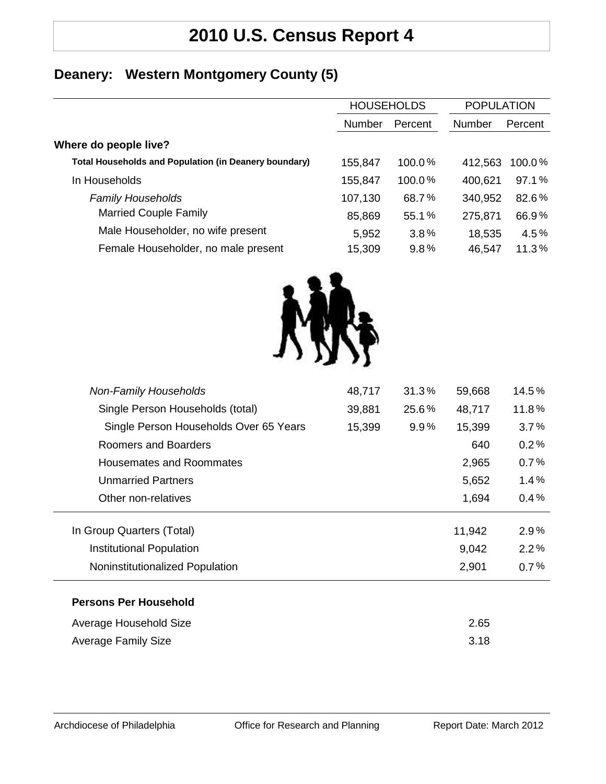## **2010 U.S. Census Report 4**

### **Deanery: Western Montgomery County (5)**

| <b>HOUSEHOLDS</b> |         | <b>POPULATION</b> |         |
|-------------------|---------|-------------------|---------|
| <b>Number</b>     | Percent | Number            | Percent |
|                   |         |                   |         |
| 155,847           | 100.0%  | 412,563           | 100.0%  |
| 155,847           | 100.0%  | 400,621           | 97.1%   |
| 107,130           | 68.7%   | 340,952           | 82.6%   |
| 85,869            | 55.1%   | 275,871           | 66.9%   |
| 5,952             | 3.8%    | 18,535            | 4.5%    |
| 15,309            | 9.8%    | 46,547            | 11.3%   |
|                   |         |                   |         |



| <b>Non-Family Households</b>           | 48,717 | 31.3%   | 59,668 | 14.5%   |
|----------------------------------------|--------|---------|--------|---------|
| Single Person Households (total)       | 39,881 | 25.6%   | 48,717 | 11.8%   |
| Single Person Households Over 65 Years | 15,399 | $9.9\%$ | 15,399 | 3.7%    |
| Roomers and Boarders                   |        |         | 640    | 0.2%    |
| Housemates and Roommates               |        |         | 2,965  | 0.7%    |
| <b>Unmarried Partners</b>              |        |         | 5,652  | 1.4%    |
| Other non-relatives                    |        |         | 1,694  | $0.4\%$ |
| In Group Quarters (Total)              |        |         | 11,942 | $2.9\%$ |
| Institutional Population               |        |         | 9,042  | 2.2%    |
| Noninstitutionalized Population        |        |         | 2,901  | 0.7%    |
| <b>Persons Per Household</b>           |        |         |        |         |
| Average Household Size                 |        |         | 2.65   |         |
| <b>Average Family Size</b>             |        |         | 3.18   |         |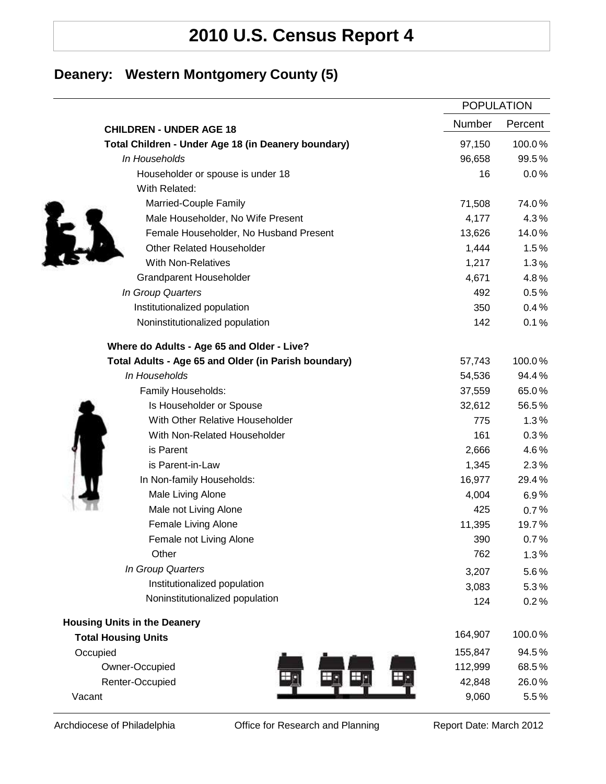# **2010 U.S. Census Report 4**

### **Deanery: Western Montgomery County (5)**

|                                                      |         | <b>POPULATION</b> |  |
|------------------------------------------------------|---------|-------------------|--|
| <b>CHILDREN - UNDER AGE 18</b>                       | Number  | Percent           |  |
| Total Children - Under Age 18 (in Deanery boundary)  | 97,150  | 100.0%            |  |
| In Households                                        | 96,658  | 99.5%             |  |
| Householder or spouse is under 18                    | 16      | 0.0%              |  |
| With Related:                                        |         |                   |  |
| Married-Couple Family                                | 71,508  | 74.0%             |  |
| Male Householder, No Wife Present                    | 4,177   | 4.3%              |  |
| Female Householder, No Husband Present               | 13,626  | 14.0%             |  |
| <b>Other Related Householder</b>                     | 1,444   | 1.5%              |  |
| <b>With Non-Relatives</b>                            | 1,217   | 1.3%              |  |
| <b>Grandparent Householder</b>                       | 4,671   | 4.8%              |  |
| In Group Quarters                                    | 492     | 0.5%              |  |
| Institutionalized population                         | 350     | 0.4%              |  |
| Noninstitutionalized population                      | 142     | 0.1%              |  |
| Where do Adults - Age 65 and Older - Live?           |         |                   |  |
| Total Adults - Age 65 and Older (in Parish boundary) | 57,743  | 100.0%            |  |
| In Households                                        | 54,536  | 94.4%             |  |
| Family Households:                                   | 37,559  | 65.0%             |  |
| Is Householder or Spouse                             | 32,612  | 56.5%             |  |
| With Other Relative Householder                      | 775     | 1.3%              |  |
| With Non-Related Householder                         | 161     | 0.3%              |  |
| is Parent                                            | 2,666   | 4.6%              |  |
| is Parent-in-Law                                     | 1,345   | 2.3%              |  |
| In Non-family Households:                            | 16,977  | 29.4%             |  |
| Male Living Alone                                    | 4,004   | 6.9%              |  |
| Male not Living Alone                                | 425     | 0.7%              |  |
| Female Living Alone                                  | 11,395  | 19.7%             |  |
| Female not Living Alone                              | 390     | 0.7%              |  |
| Other                                                | 762     | 1.3%              |  |
| In Group Quarters                                    | 3,207   | 5.6%              |  |
| Institutionalized population                         | 3,083   | 5.3%              |  |
| Noninstitutionalized population                      | 124     | 0.2%              |  |
| <b>Housing Units in the Deanery</b>                  |         |                   |  |
| <b>Total Housing Units</b>                           | 164,907 | 100.0%            |  |
| Occupied                                             | 155,847 | 94.5%             |  |
| Owner-Occupied                                       | 112,999 | 68.5%             |  |
| Renter-Occupied                                      | 42,848  | 26.0%             |  |
| Vacant                                               | 9,060   | 5.5%              |  |